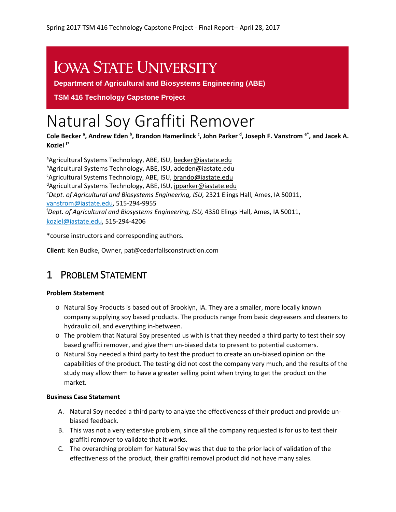# **IOWA STATE UNIVERSITY**

**Department of Agricultural and Biosystems Engineering (ABE)**

**TSM 416 Technology Capstone Project** 

# Natural Soy Graffiti Remover

**Cole Becker <sup>a</sup> , Andrew Eden <sup>b</sup> , Brandon Hamerlinck <sup>c</sup> , John Parker <sup>d</sup> , Joseph F. Vanstrom e\*, and Jacek A. Koziel f\***

<sup>a</sup>Agricultural Systems Technology, ABE, ISU, becker@iastate.edu <sup>b</sup>Agricultural Systems Technology, ABE, ISU, <u>adede[n@iastate.edu](mailto:e-mail@iastate.edu)</u> <sup>c</sup>Agricultural Systems Technology, ABE, ISU, [brando@iastate.edu](mailto:brando@iastate.edu) <sup>d</sup>Agricultural Systems Technology, ABE, ISU, <u>jpparker@iastate.edu</u> *e Dept. of Agricultural and Biosystems Engineering, ISU,* 2321 Elings Hall, Ames, IA 50011, [vanstrom@iastate.edu,](mailto:vanstrom@iastate.edu) 515-294-9955 f *Dept. of Agricultural and Biosystems Engineering, ISU,* 4350 Elings Hall, Ames, IA 50011, [koziel@iastate.edu,](mailto:koziel@iastate.edu) 515-294-4206

\*course instructors and corresponding authors.

**Client**: Ken Budke, Owner, pat@cedarfallsconstruction.com

# 1 PROBLEM STATEMENT

#### **Problem Statement**

- o Natural Soy Products is based out of Brooklyn, IA. They are a smaller, more locally known company supplying soy based products. The products range from basic degreasers and cleaners to hydraulic oil, and everything in-between.
- o The problem that Natural Soy presented us with is that they needed a third party to test their soy based graffiti remover, and give them un-biased data to present to potential customers.
- o Natural Soy needed a third party to test the product to create an un-biased opinion on the capabilities of the product. The testing did not cost the company very much, and the results of the study may allow them to have a greater selling point when trying to get the product on the market.

#### **Business Case Statement**

- A. Natural Soy needed a third party to analyze the effectiveness of their product and provide unbiased feedback.
- B. This was not a very extensive problem, since all the company requested is for us to test their graffiti remover to validate that it works.
- C. The overarching problem for Natural Soy was that due to the prior lack of validation of the effectiveness of the product, their graffiti removal product did not have many sales.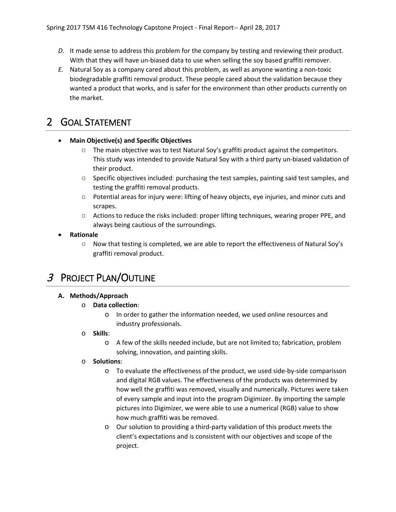- *D.* It made sense to address this problem for the company by testing and reviewing their product. With that they will have un-biased data to use when selling the soy based graffiti remover.
- *E.* Natural Soy as a company cared about this problem, as well as anyone wanting a non-toxic biodegradable graffiti removal product. These people cared about the validation because they wanted a product that works, and is safer for the environment than other products currently on the market.

## 2 GOAL STATEMENT

#### • **Main Objective(s) and Specific Objectives**

- $\circ$  The main objective was to test Natural Soy's graffiti product against the competitors. This study was intended to provide Natural Soy with a third party un-biased validation of their product.
- $\circ$  Specific objectives included: purchasing the test samples, painting said test samples, and testing the graffiti removal products.
- $\circ$  Potential areas for injury were: lifting of heavy objects, eye injuries, and minor cuts and scrapes.
- $\circ$  Actions to reduce the risks included: proper lifting techniques, wearing proper PPE, and always being cautious of the surroundings.

#### • **Rationale**

 $\circ$  Now that testing is completed, we are able to report the effectiveness of Natural Soy's graffiti removal product.

# 3 PROJECT PLAN/OUTLINE

#### **A. Methods/Approach**

- o **Data collection**:
	- o In order to gather the information needed, we used online resources and industry professionals.

#### o **Skills**:

o A few of the skills needed include, but are not limited to; fabrication, problem solving, innovation, and painting skills.

#### o **Solutions**:

- o To evaluate the effectiveness of the product, we used side-by-side comparisson and digital RGB values. The effectiveness of the products was determined by how well the graffiti was removed, visually and numerically. Pictures were taken of every sample and input into the program Digimizer. By importing the sample pictures into Digimizer, we were able to use a numerical (RGB) value to show how much graffiti was be removed.
- o Our solution to providing a third-party validation of this product meets the client's expectations and is consistent with our objectives and scope of the project.